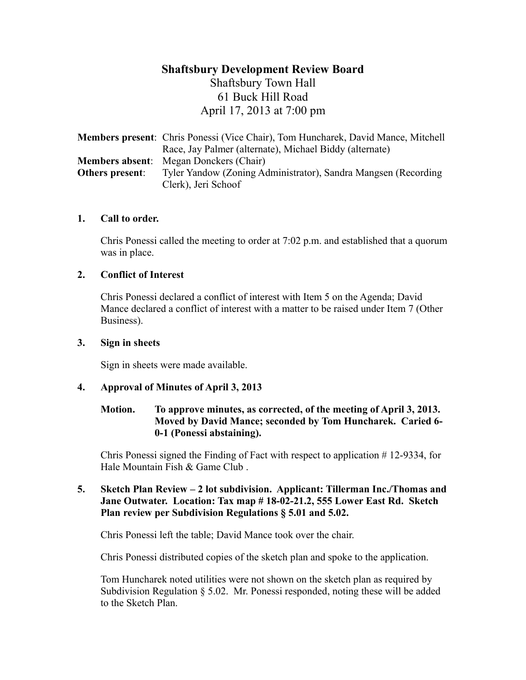# **Shaftsbury Development Review Board** Shaftsbury Town Hall 61 Buck Hill Road April 17, 2013 at 7:00 pm

|                 | <b>Members present:</b> Chris Ponessi (Vice Chair), Tom Huncharek, David Mance, Mitchell |
|-----------------|------------------------------------------------------------------------------------------|
|                 | Race, Jay Palmer (alternate), Michael Biddy (alternate)                                  |
|                 | <b>Members absent:</b> Megan Donckers (Chair)                                            |
| Others present: | Tyler Yandow (Zoning Administrator), Sandra Mangsen (Recording)                          |
|                 | Clerk), Jeri Schoof                                                                      |

#### **1. Call to order.**

Chris Ponessi called the meeting to order at 7:02 p.m. and established that a quorum was in place.

#### **2. Conflict of Interest**

Chris Ponessi declared a conflict of interest with Item 5 on the Agenda; David Mance declared a conflict of interest with a matter to be raised under Item 7 (Other Business).

#### **3. Sign in sheets**

Sign in sheets were made available.

#### **4. Approval of Minutes of April 3, 2013**

#### **Motion. To approve minutes, as corrected, of the meeting of April 3, 2013. Moved by David Mance; seconded by Tom Huncharek. Caried 6- 0-1 (Ponessi abstaining).**

Chris Ponessi signed the Finding of Fact with respect to application # 12-9334, for Hale Mountain Fish & Game Club .

#### **5. Sketch Plan Review – 2 lot subdivision. Applicant: Tillerman Inc./Thomas and Jane Outwater. Location: Tax map # 18-02-21.2, 555 Lower East Rd. Sketch Plan review per Subdivision Regulations § 5.01 and 5.02.**

Chris Ponessi left the table; David Mance took over the chair.

Chris Ponessi distributed copies of the sketch plan and spoke to the application.

Tom Huncharek noted utilities were not shown on the sketch plan as required by Subdivision Regulation § 5.02. Mr. Ponessi responded, noting these will be added to the Sketch Plan.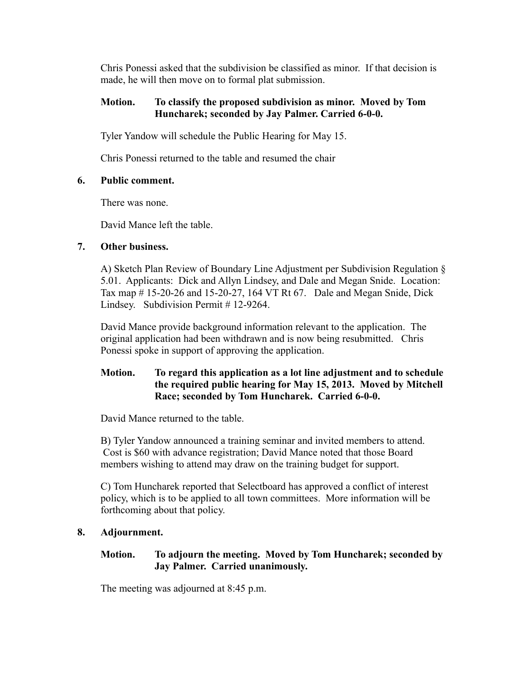Chris Ponessi asked that the subdivision be classified as minor. If that decision is made, he will then move on to formal plat submission.

### **Motion. To classify the proposed subdivision as minor. Moved by Tom Huncharek; seconded by Jay Palmer. Carried 6-0-0.**

Tyler Yandow will schedule the Public Hearing for May 15.

Chris Ponessi returned to the table and resumed the chair

## **6. Public comment.**

There was none.

David Mance left the table.

## **7. Other business.**

A) Sketch Plan Review of Boundary Line Adjustment per Subdivision Regulation § 5.01. Applicants: Dick and Allyn Lindsey, and Dale and Megan Snide. Location: Tax map # 15-20-26 and 15-20-27, 164 VT Rt 67. Dale and Megan Snide, Dick Lindsey. Subdivision Permit # 12-9264.

David Mance provide background information relevant to the application. The original application had been withdrawn and is now being resubmitted. Chris Ponessi spoke in support of approving the application.

## **Motion. To regard this application as a lot line adjustment and to schedule the required public hearing for May 15, 2013. Moved by Mitchell Race; seconded by Tom Huncharek. Carried 6-0-0.**

David Mance returned to the table.

B) Tyler Yandow announced a training seminar and invited members to attend. Cost is \$60 with advance registration; David Mance noted that those Board members wishing to attend may draw on the training budget for support.

C) Tom Huncharek reported that Selectboard has approved a conflict of interest policy, which is to be applied to all town committees. More information will be forthcoming about that policy.

# **8. Adjournment.**

## **Motion. To adjourn the meeting. Moved by Tom Huncharek; seconded by Jay Palmer. Carried unanimously.**

The meeting was adjourned at 8:45 p.m.